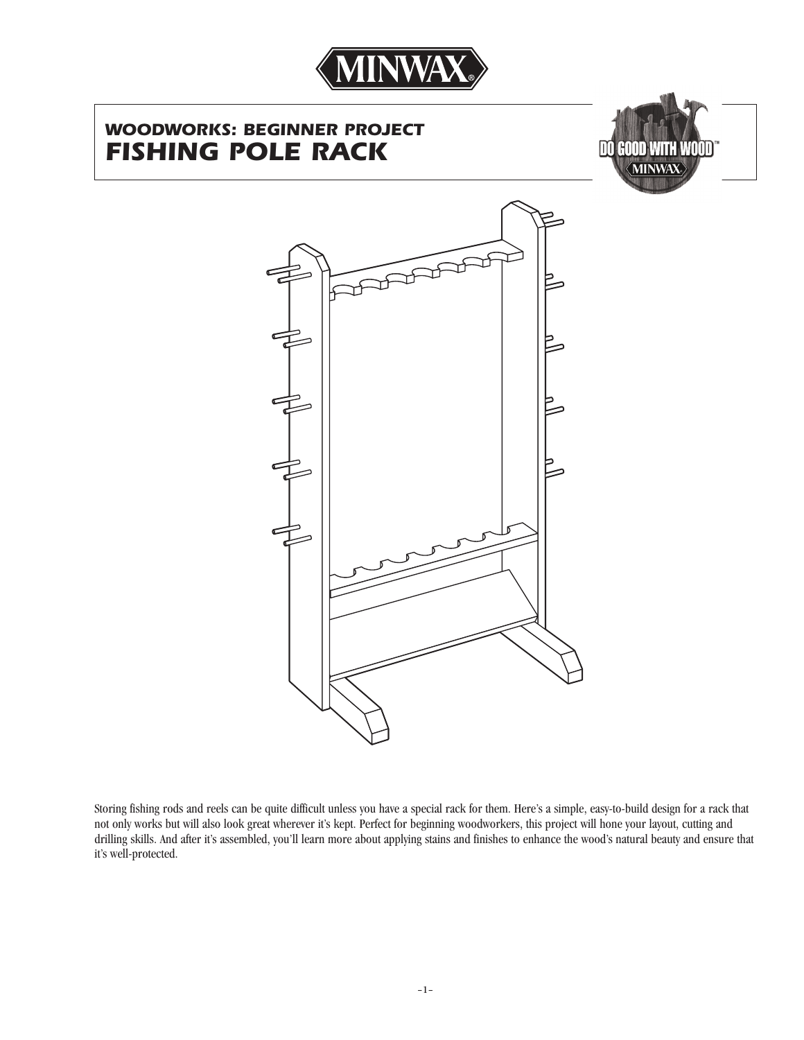

# *WOODWORKS: BEGINNER PROJECT FISHING POLE RACK*





Storing fishing rods and reels can be quite difficult unless you have a special rack for them. Here's a simple, easy-to-build design for a rack that not only works but will also look great wherever it's kept. Perfect for beginning woodworkers, this project will hone your layout, cutting and drilling skills. And after it's assembled, you'll learn more about applying stains and finishes to enhance the wood's natural beauty and ensure that it's well-protected.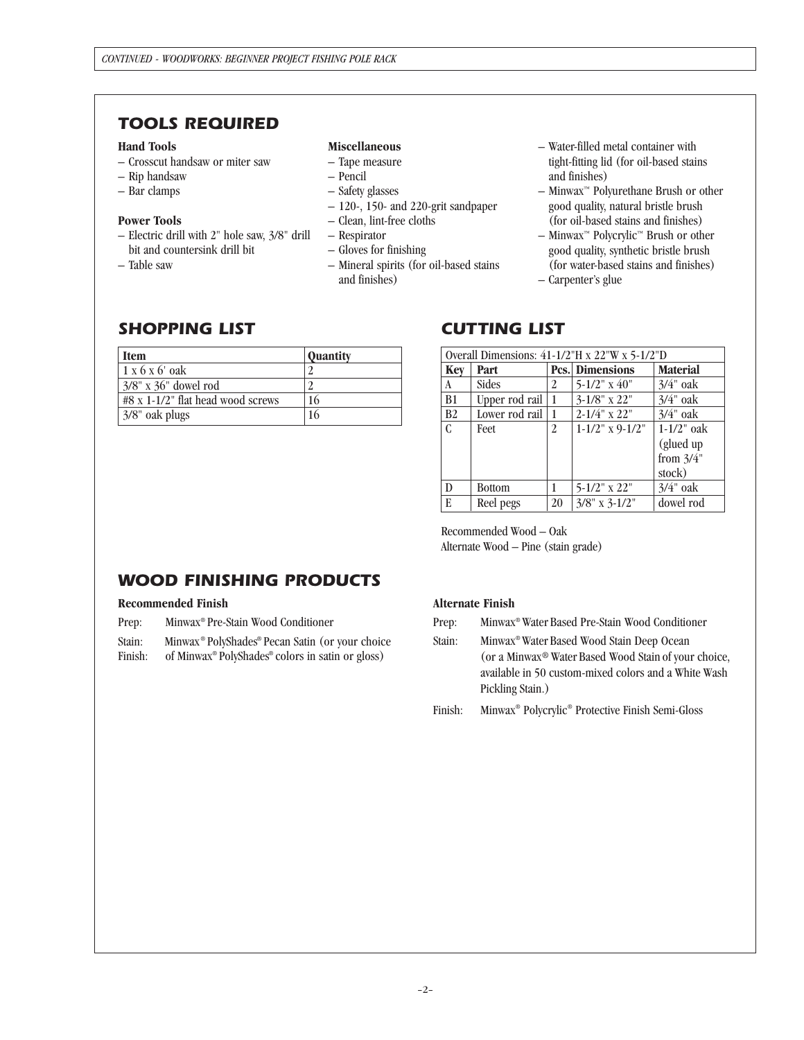## *TOOLS REQUIRED*

### **Hand Tools**

- Crosscut handsaw or miter saw
- Rip handsaw
- Bar clamps

#### **Power Tools**

- Electric drill with 2" hole saw, 3/8" drill bit and countersink drill bit
- Table saw

### **Miscellaneous**

- Tape measure
- Pencil
- Safety glasses
- 120-, 150- and 220-grit sandpaper
- Clean, lint-free cloths
- Respirator
- Gloves for finishing
- Mineral spirits (for oil-based stains and finishes)
- Water-filled metal container with tight-fitting lid (for oil-based stains and finishes)
- Minwax™ Polyurethane Brush or other good quality, natural bristle brush (for oil-based stains and finishes)
- $-$  Minwax<sup>™</sup> Polycrylic<sup>™</sup> Brush or other good quality, synthetic bristle brush (for water-based stains and finishes)
- Carpenter's glue

## *SHOPPING LIST*

| <b>Item</b>                       | <b>Quantity</b> |
|-----------------------------------|-----------------|
| $1 \times 6 \times 6'$ oak        |                 |
| $3/8$ " x $36$ " dowel rod        |                 |
| #8 x 1-1/2" flat head wood screws | 16              |
| 3/8" oak plugs                    | 16              |

## *CUTTING LIST*

| Overall Dimensions: $41-1/2$ "H x $22$ "W x $5-1/2$ "D |                |    |                        |                 |  |
|--------------------------------------------------------|----------------|----|------------------------|-----------------|--|
| <b>Key</b>                                             | Part           |    | <b>Pcs.</b> Dimensions | <b>Material</b> |  |
| A                                                      | Sides          | 2  | $5-1/2$ " x 40"        | $3/4$ " oak     |  |
| B <sub>1</sub>                                         | Upper rod rail | 1  | $3-1/8$ " x 22"        | $3/4$ " oak     |  |
| B <sub>2</sub>                                         | Lower rod rail | 1  | $2 - 1/4$ " x 22"      | $3/4$ " oak     |  |
| C                                                      | Feet           | 2  | $1-1/2$ " x 9-1/2"     | $1-1/2$ " oak   |  |
|                                                        |                |    |                        | (glued up       |  |
|                                                        |                |    |                        | from $3/4$ "    |  |
|                                                        |                |    |                        | stock)          |  |
| D                                                      | <b>Bottom</b>  |    | $5 - 1/2$ " x 22"      | $3/4$ " oak     |  |
| E                                                      | Reel pegs      | 20 | $3/8$ " x $3-1/2$ "    | dowel rod       |  |

Recommended Wood – Oak Alternate Wood – Pine (stain grade)

# *WOOD FINISHING PRODUCTS*

#### **Recommended Finish**

Prep: Minwax® Pre-Stain Wood Conditioner

Stain: Minwax® PolyShades® Pecan Satin (or your choice

Finish: of Minwax® PolyShades® colors in satin or gloss)

### **Alternate Finish**

Prep: Minwax® Water Based Pre-Stain Wood Conditioner

Stain: Minwax® Water Based Wood Stain Deep Ocean (or a Minwax® Water Based Wood Stain of your choice, available in 50 custom-mixed colors and a White Wash Pickling Stain.)

Finish: Minwax® Polycrylic® Protective Finish Semi-Gloss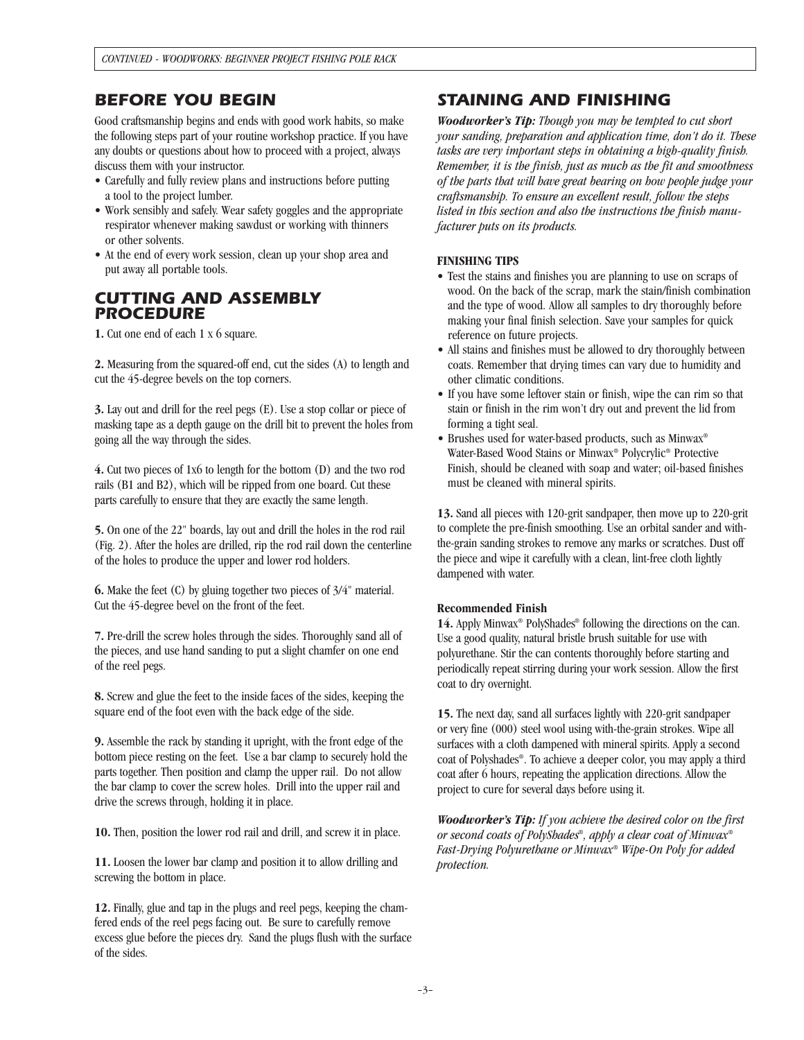### *BEFORE YOU BEGIN*

Good craftsmanship begins and ends with good work habits, so make the following steps part of your routine workshop practice. If you have any doubts or questions about how to proceed with a project, always discuss them with your instructor.

- Carefully and fully review plans and instructions before putting a tool to the project lumber.
- Work sensibly and safely. Wear safety goggles and the appropriate respirator whenever making sawdust or working with thinners or other solvents.
- At the end of every work session, clean up your shop area and put away all portable tools.

### *CUTTING AND ASSEMBLY PROCEDURE*

**1.** Cut one end of each 1 x 6 square.

**2.** Measuring from the squared-off end, cut the sides (A) to length and cut the 45-degree bevels on the top corners.

**3.** Lay out and drill for the reel pegs (E). Use a stop collar or piece of masking tape as a depth gauge on the drill bit to prevent the holes from going all the way through the sides.

**4.** Cut two pieces of 1x6 to length for the bottom (D) and the two rod rails (B1 and B2), which will be ripped from one board. Cut these parts carefully to ensure that they are exactly the same length.

**5.** On one of the 22" boards, lay out and drill the holes in the rod rail (Fig. 2). After the holes are drilled, rip the rod rail down the centerline of the holes to produce the upper and lower rod holders.

**6.** Make the feet (C) by gluing together two pieces of 3/4" material. Cut the 45-degree bevel on the front of the feet.

**7.** Pre-drill the screw holes through the sides. Thoroughly sand all of the pieces, and use hand sanding to put a slight chamfer on one end of the reel pegs.

**8.** Screw and glue the feet to the inside faces of the sides, keeping the square end of the foot even with the back edge of the side.

**9.** Assemble the rack by standing it upright, with the front edge of the bottom piece resting on the feet. Use a bar clamp to securely hold the parts together. Then position and clamp the upper rail. Do not allow the bar clamp to cover the screw holes. Drill into the upper rail and drive the screws through, holding it in place.

**10.** Then, position the lower rod rail and drill, and screw it in place.

**11.** Loosen the lower bar clamp and position it to allow drilling and screwing the bottom in place.

**12.** Finally, glue and tap in the plugs and reel pegs, keeping the chamfered ends of the reel pegs facing out. Be sure to carefully remove excess glue before the pieces dry. Sand the plugs flush with the surface of the sides.

## *STAINING AND FINISHING*

*Woodworker's Tip: Though you may be tempted to cut short your sanding, preparation and application time, don't do it. These tasks are very important steps in obtaining a high-quality finish. Remember, it is the finish, just as much as the fit and smoothness of the parts that will have great bearing on how people judge your craftsmanship. To ensure an excellent result, follow the steps listed in this section and also the instructions the finish manufacturer puts on its products.*

### **FINISHING TIPS**

- Test the stains and finishes you are planning to use on scraps of wood. On the back of the scrap, mark the stain/finish combination and the type of wood. Allow all samples to dry thoroughly before making your final finish selection. Save your samples for quick reference on future projects.
- All stains and finishes must be allowed to dry thoroughly between coats. Remember that drying times can vary due to humidity and other climatic conditions.
- If you have some leftover stain or finish, wipe the can rim so that stain or finish in the rim won't dry out and prevent the lid from forming a tight seal.
- Brushes used for water-based products, such as Minwax® Water-Based Wood Stains or Minwax® Polycrylic® Protective Finish, should be cleaned with soap and water; oil-based finishes must be cleaned with mineral spirits.

**13.** Sand all pieces with 120-grit sandpaper, then move up to 220-grit to complete the pre-finish smoothing. Use an orbital sander and withthe-grain sanding strokes to remove any marks or scratches. Dust off the piece and wipe it carefully with a clean, lint-free cloth lightly dampened with water.

### **Recommended Finish**

14. Apply Minwax<sup>®</sup> PolyShades<sup>®</sup> following the directions on the can. Use a good quality, natural bristle brush suitable for use with polyurethane. Stir the can contents thoroughly before starting and periodically repeat stirring during your work session. Allow the first coat to dry overnight.

**15.** The next day, sand all surfaces lightly with 220-grit sandpaper or very fine (000) steel wool using with-the-grain strokes. Wipe all surfaces with a cloth dampened with mineral spirits. Apply a second coat of Polyshades ®. To achieve a deeper color, you may apply a third coat after 6 hours, repeating the application directions. Allow the project to cure for several days before using it.

*Woodworker's Tip: If you achieve the desired color on the first or second coats of PolyShades®, apply a clear coat of Minwax® Fast-Drying Polyurethane or Minwax® Wipe-On Poly for added protection.*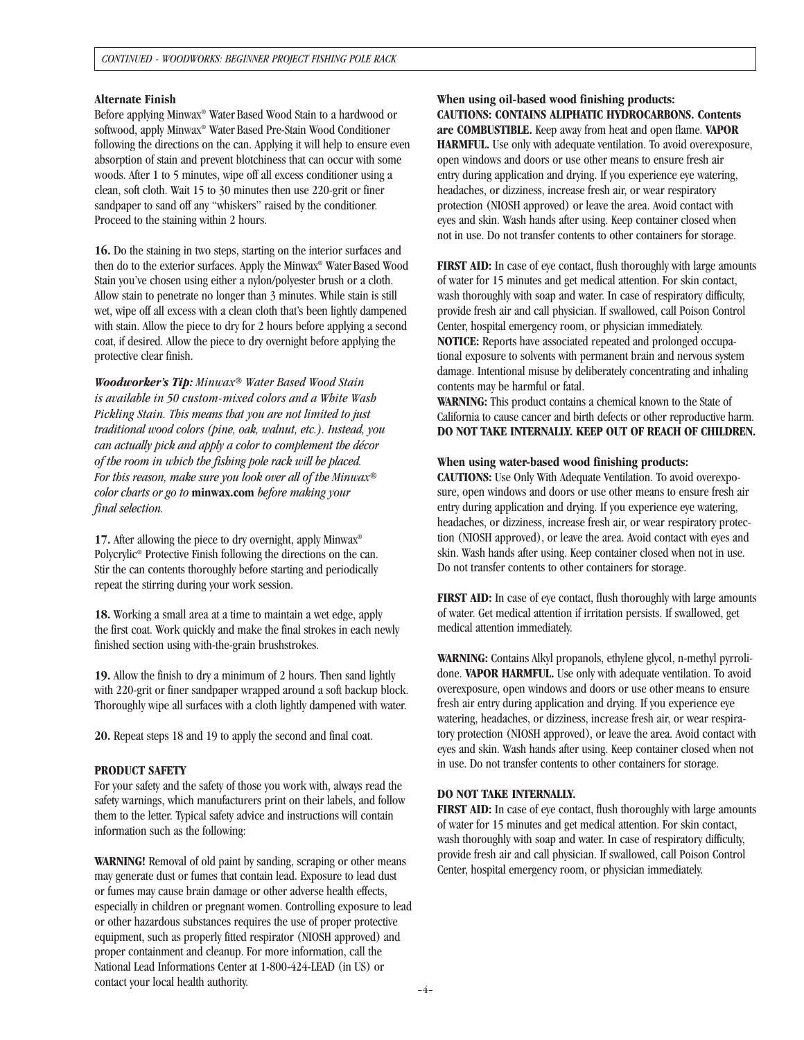#### **Alternate Finish**

Before applying Minwax® Water Based Wood Stain to a hardwood or softwood, apply Minwax® Water Based Pre-Stain Wood Conditioner following the directions on the can. Applying it will help to ensure even absorption of stain and prevent blotchiness that can occur with some woods. After 1 to 5 minutes, wipe off all excess conditioner using a clean, soft cloth. Wait 15 to 30 minutes then use 220-grit or finer sandpaper to sand off any "whiskers" raised by the conditioner. Proceed to the staining within 2 hours.

**16.** Do the staining in two steps, starting on the interior surfaces and then do to the exterior surfaces. Apply the Minwax ® Water Based Wood Stain you've chosen using either a nylon/polyester brush or a cloth. Allow stain to penetrate no longer than 3 minutes. While stain is still wet, wipe off all excess with a clean cloth that's been lightly dampened with stain. Allow the piece to dry for 2 hours before applying a second coat, if desired. Allow the piece to dry overnight before applying the protective clear finish.

*Woodworker's Tip: Minwax*® *Water Based Wood Stain is available in 50 custom-mixed colors and a White Wash Pickling Stain. This means that you are not limited to just traditional wood colors (pine, oak, walnut, etc.). Instead, you can actually pick and apply a color to complement the décor of the room in which the fishing pole rack will be placed. For this reason, make sure you look over all of the Minwax*® *color charts or go to* **minwax.com** *before making your final selection.*

17. After allowing the piece to dry overnight, apply Minwax® Polycrylic® Protective Finish following the directions on the can. Stir the can contents thoroughly before starting and periodically repeat the stirring during your work session.

**18.** Working a small area at a time to maintain a wet edge, apply the first coat. Work quickly and make the final strokes in each newly finished section using with-the-grain brushstrokes.

**19.** Allow the finish to dry a minimum of 2 hours. Then sand lightly with 220-grit or finer sandpaper wrapped around a soft backup block. Thoroughly wipe all surfaces with a cloth lightly dampened with water.

**20.** Repeat steps 18 and 19 to apply the second and final coat.

#### **PRODUCT SAFETY**

For your safety and the safety of those you work with, always read the safety warnings, which manufacturers print on their labels, and follow them to the letter. Typical safety advice and instructions will contain information such as the following:

**WARNING!** Removal of old paint by sanding, scraping or other means may generate dust or fumes that contain lead. Exposure to lead dust or fumes may cause brain damage or other adverse health effects, especially in children or pregnant women. Controlling exposure to lead or other hazardous substances requires the use of proper protective equipment, such as properly fitted respirator (NIOSH approved) and proper containment and cleanup. For more information, call the National Lead Informations Center at 1-800-424-LEAD (in US) or contact your local health authority.

**When using oil-based wood finishing products: CAUTIONS: CONTAINS ALIPHATIC HYDROCARBONS. Contents are COMBUSTIBLE.** Keep away from heat and open flame. **VAPOR HARMFUL.** Use only with adequate ventilation. To avoid overexposure, open windows and doors or use other means to ensure fresh air entry during application and drying. If you experience eye watering, headaches, or dizziness, increase fresh air, or wear respiratory protection (NIOSH approved) or leave the area. Avoid contact with eyes and skin. Wash hands after using. Keep container closed when not in use. Do not transfer contents to other containers for storage.

**FIRST AID:** In case of eye contact, flush thoroughly with large amounts of water for 15 minutes and get medical attention. For skin contact, wash thoroughly with soap and water. In case of respiratory difficulty, provide fresh air and call physician. If swallowed, call Poison Control Center, hospital emergency room, or physician immediately. **NOTICE:** Reports have associated repeated and prolonged occupational exposure to solvents with permanent brain and nervous system damage. Intentional misuse by deliberately concentrating and inhaling contents may be harmful or fatal.

**WARNING:** This product contains a chemical known to the State of California to cause cancer and birth defects or other reproductive harm. **DO NOT TAKE INTERNALLY. KEEP OUT OF REACH OF CHILDREN.**

#### **When using water-based wood finishing products:**

**CAUTIONS:** Use Only With Adequate Ventilation. To avoid overexposure, open windows and doors or use other means to ensure fresh air entry during application and drying. If you experience eye watering, headaches, or dizziness, increase fresh air, or wear respiratory protection (NIOSH approved), or leave the area. Avoid contact with eyes and skin. Wash hands after using. Keep container closed when not in use. Do not transfer contents to other containers for storage.

**FIRST AID:** In case of eye contact, flush thoroughly with large amounts of water. Get medical attention if irritation persists. If swallowed, get medical attention immediately.

**WARNING:** Contains Alkyl propanols, ethylene glycol, n-methyl pyrrolidone. **VAPOR HARMFUL.** Use only with adequate ventilation. To avoid overexposure, open windows and doors or use other means to ensure fresh air entry during application and drying. If you experience eye watering, headaches, or dizziness, increase fresh air, or wear respiratory protection (NIOSH approved), or leave the area. Avoid contact with eyes and skin. Wash hands after using. Keep container closed when not in use. Do not transfer contents to other containers for storage.

### **DO NOT TAKE INTERNALLY.**

**FIRST AID:** In case of eye contact, flush thoroughly with large amounts of water for 15 minutes and get medical attention. For skin contact, wash thoroughly with soap and water. In case of respiratory difficulty, provide fresh air and call physician. If swallowed, call Poison Control Center, hospital emergency room, or physician immediately.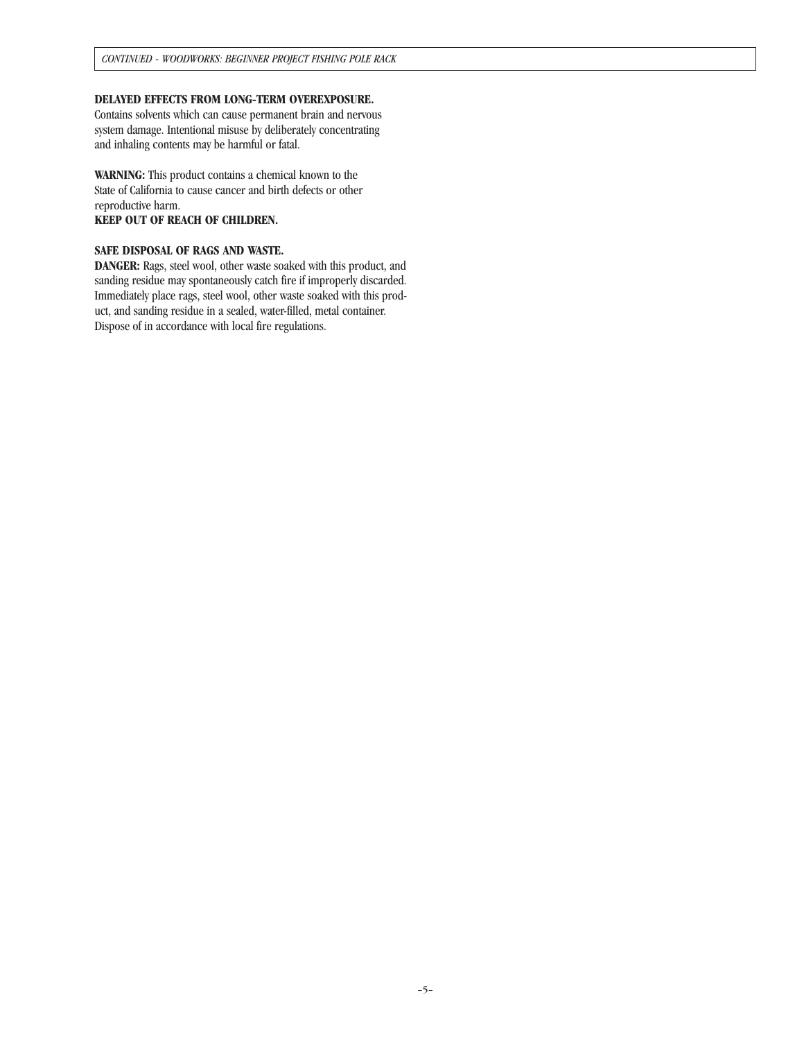### **DELAYED EFFECTS FROM LONG-TERM OVEREXPOSURE.**

Contains solvents which can cause permanent brain and nervous system damage. Intentional misuse by deliberately concentrating and inhaling contents may be harmful or fatal.

**WARNING:** This product contains a chemical known to the State of California to cause cancer and birth defects or other reproductive harm.

## **KEEP OUT OF REACH OF CHILDREN.**

#### **SAFE DISPOSAL OF RAGS AND WASTE.**

**DANGER:** Rags, steel wool, other waste soaked with this product, and sanding residue may spontaneously catch fire if improperly discarded. Immediately place rags, steel wool, other waste soaked with this product, and sanding residue in a sealed, water-filled, metal container. Dispose of in accordance with local fire regulations.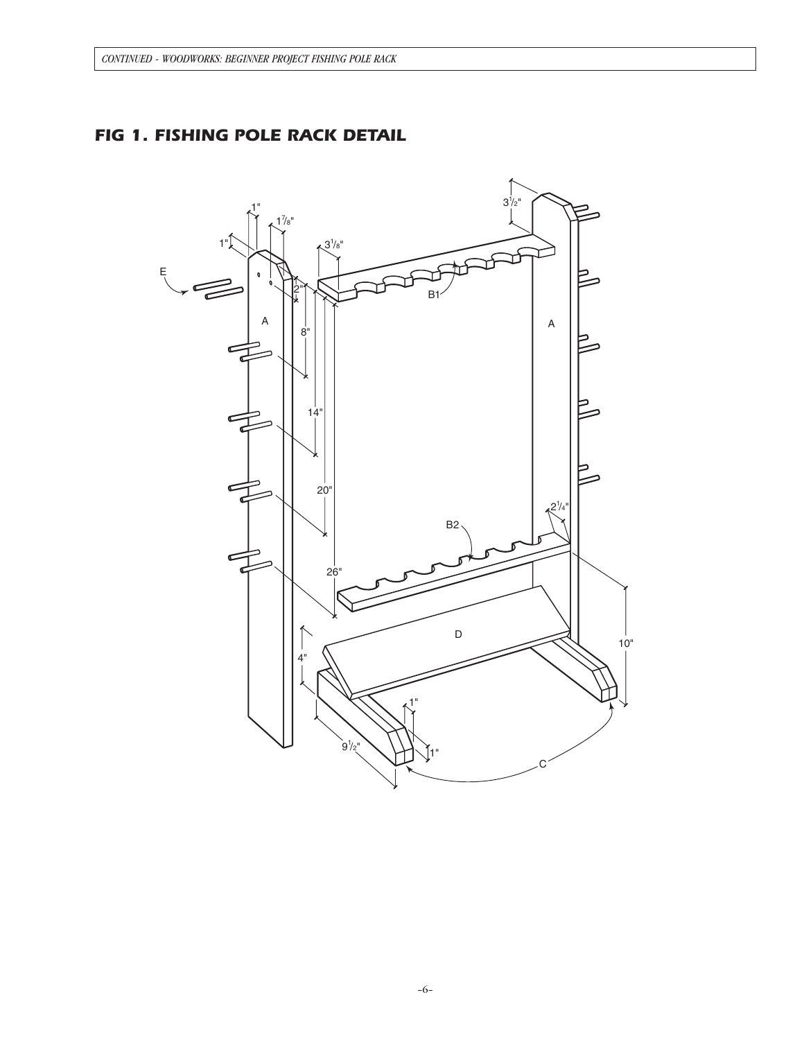# *FIG 1. FISHING POLE RACK DETAIL*